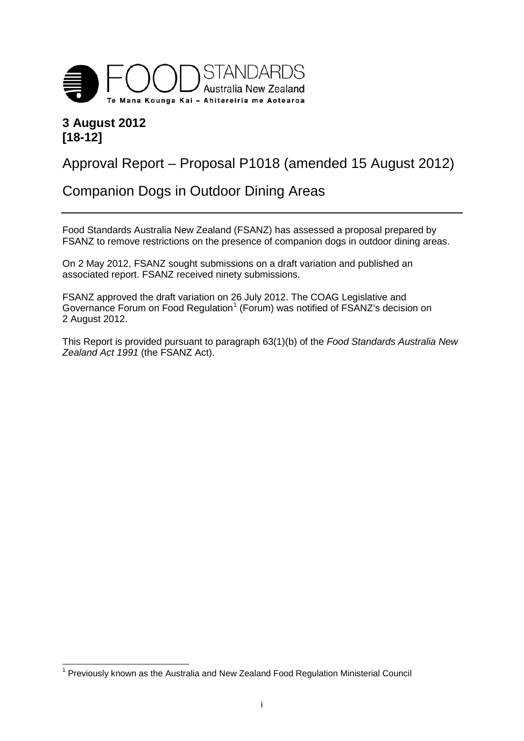

# **3 August 2012 [18-12]**

# Approval Report – Proposal P1018 (amended 15 August 2012)

# Companion Dogs in Outdoor Dining Areas

Food Standards Australia New Zealand (FSANZ) has assessed a proposal prepared by FSANZ to remove restrictions on the presence of companion dogs in outdoor dining areas.

On 2 May 2012, FSANZ sought submissions on a draft variation and published an associated report. FSANZ received ninety submissions.

FSANZ approved the draft variation on 26 July 2012. The COAG Legislative and Governance Forum on Food Regulation<sup>[1](#page-0-0)</sup> (Forum) was notified of FSANZ's decision on 2 August 2012.

This Report is provided pursuant to paragraph 63(1)(b) of the *Food Standards Australia New Zealand Act 1991* (the FSANZ Act).

<span id="page-0-1"></span><span id="page-0-0"></span> $1$  Previously known as the Australia and New Zealand Food Regulation Ministerial Council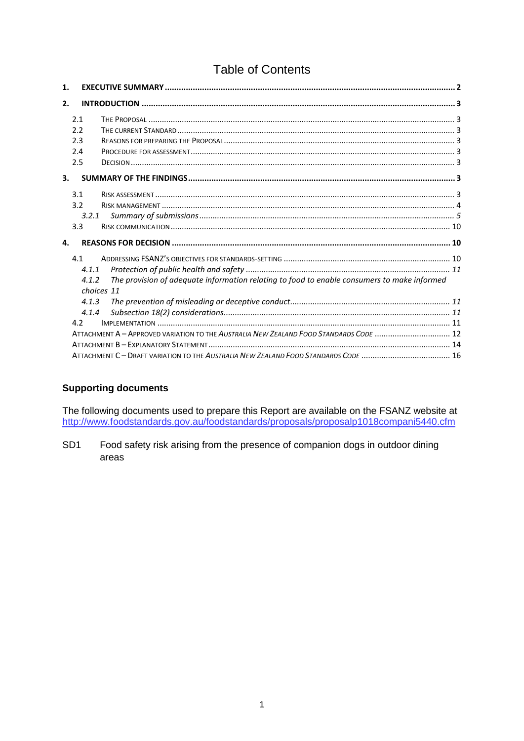# **Table of Contents**

| 1.                                                                                                   |            |                                                                                        |  |  |  |  |
|------------------------------------------------------------------------------------------------------|------------|----------------------------------------------------------------------------------------|--|--|--|--|
| 2.                                                                                                   |            |                                                                                        |  |  |  |  |
|                                                                                                      | 2.1        |                                                                                        |  |  |  |  |
|                                                                                                      | 2.2        |                                                                                        |  |  |  |  |
|                                                                                                      | 2.3        |                                                                                        |  |  |  |  |
|                                                                                                      | 2.4        |                                                                                        |  |  |  |  |
|                                                                                                      | 2.5        |                                                                                        |  |  |  |  |
| $\mathbf{3}$                                                                                         |            |                                                                                        |  |  |  |  |
|                                                                                                      | 3.1        |                                                                                        |  |  |  |  |
|                                                                                                      | 3.2        |                                                                                        |  |  |  |  |
|                                                                                                      | 3.2.1      |                                                                                        |  |  |  |  |
|                                                                                                      | 3.3        |                                                                                        |  |  |  |  |
| 4.                                                                                                   |            |                                                                                        |  |  |  |  |
|                                                                                                      | 4.1        |                                                                                        |  |  |  |  |
|                                                                                                      | 4.1.1      |                                                                                        |  |  |  |  |
| The provision of adequate information relating to food to enable consumers to make informed<br>4.1.2 |            |                                                                                        |  |  |  |  |
|                                                                                                      | choices 11 |                                                                                        |  |  |  |  |
|                                                                                                      | 4.1.3      |                                                                                        |  |  |  |  |
|                                                                                                      | 4.1.4      |                                                                                        |  |  |  |  |
|                                                                                                      | 4.2        |                                                                                        |  |  |  |  |
|                                                                                                      |            | ATTACHMENT A - APPROVED VARIATION TO THE AUSTRALIA NEW ZEALAND FOOD STANDARDS CODE  12 |  |  |  |  |
|                                                                                                      |            |                                                                                        |  |  |  |  |
|                                                                                                      |            |                                                                                        |  |  |  |  |

### **Supporting documents**

The following documents used to prepare this Report are available on the FSANZ website at http://www.foodstandards.gov.au/foodstandards/proposals/proposalp1018compani5440.cfm

SD<sub>1</sub> Food safety risk arising from the presence of companion dogs in outdoor dining areas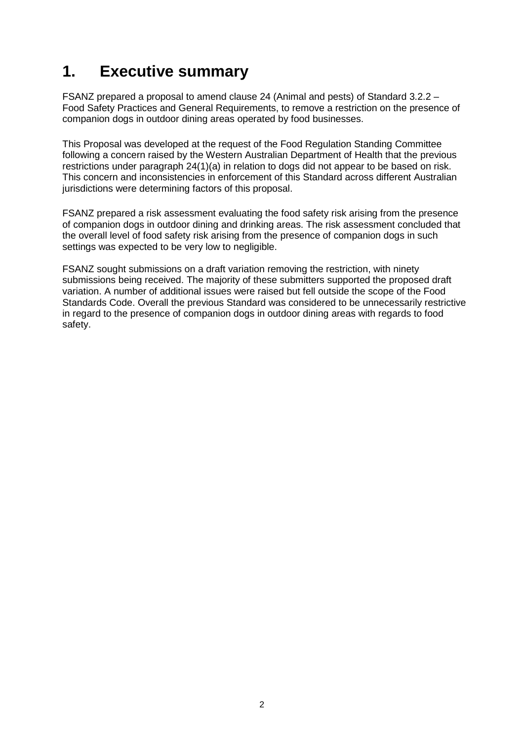# <span id="page-2-0"></span>**1. Executive summary**

FSANZ prepared a proposal to amend clause 24 (Animal and pests) of Standard 3.2.2 – Food Safety Practices and General Requirements, to remove a restriction on the presence of companion dogs in outdoor dining areas operated by food businesses.

This Proposal was developed at the request of the Food Regulation Standing Committee following a concern raised by the Western Australian Department of Health that the previous restrictions under paragraph 24(1)(a) in relation to dogs did not appear to be based on risk. This concern and inconsistencies in enforcement of this Standard across different Australian jurisdictions were determining factors of this proposal.

FSANZ prepared a risk assessment evaluating the food safety risk arising from the presence of companion dogs in outdoor dining and drinking areas. The risk assessment concluded that the overall level of food safety risk arising from the presence of companion dogs in such settings was expected to be very low to negligible.

FSANZ sought submissions on a draft variation removing the restriction, with ninety submissions being received. The majority of these submitters supported the proposed draft variation. A number of additional issues were raised but fell outside the scope of the Food Standards Code. Overall the previous Standard was considered to be unnecessarily restrictive in regard to the presence of companion dogs in outdoor dining areas with regards to food safety.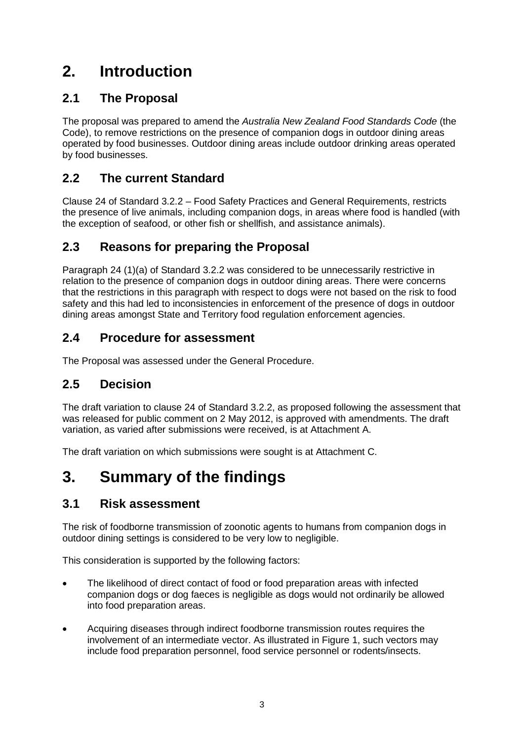# <span id="page-3-0"></span>**2. Introduction**

# <span id="page-3-1"></span>**2.1 The Proposal**

The proposal was prepared to amend the *Australia New Zealand Food Standards Code* (the Code), to remove restrictions on the presence of companion dogs in outdoor dining areas operated by food businesses. Outdoor dining areas include outdoor drinking areas operated by food businesses.

# <span id="page-3-2"></span>**2.2 The current Standard**

Clause 24 of Standard 3.2.2 – Food Safety Practices and General Requirements, restricts the presence of live animals, including companion dogs, in areas where food is handled (with the exception of seafood, or other fish or shellfish, and assistance animals).

# <span id="page-3-3"></span>**2.3 Reasons for preparing the Proposal**

Paragraph 24 (1)(a) of Standard 3.2.2 was considered to be unnecessarily restrictive in relation to the presence of companion dogs in outdoor dining areas. There were concerns that the restrictions in this paragraph with respect to dogs were not based on the risk to food safety and this had led to inconsistencies in enforcement of the presence of dogs in outdoor dining areas amongst State and Territory food regulation enforcement agencies.

# <span id="page-3-4"></span>**2.4 Procedure for assessment**

The Proposal was assessed under the General Procedure.

# <span id="page-3-5"></span>**2.5 Decision**

The draft variation to clause 24 of Standard 3.2.2, as proposed following the assessment that was released for public comment on 2 May 2012, is approved with amendments. The draft variation, as varied after submissions were received, is at Attachment A.

The draft variation on which submissions were sought is at Attachment C.

# <span id="page-3-6"></span>**3. Summary of the findings**

## <span id="page-3-7"></span>**3.1 Risk assessment**

The risk of foodborne transmission of zoonotic agents to humans from companion dogs in outdoor dining settings is considered to be very low to negligible.

This consideration is supported by the following factors:

- The likelihood of direct contact of food or food preparation areas with infected companion dogs or dog faeces is negligible as dogs would not ordinarily be allowed into food preparation areas.
- Acquiring diseases through indirect foodborne transmission routes requires the involvement of an intermediate vector. As illustrated in Figure 1, such vectors may include food preparation personnel, food service personnel or rodents/insects.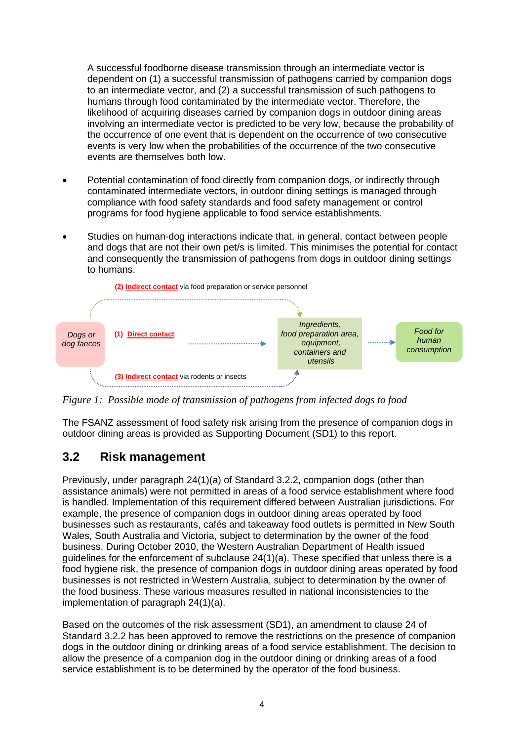A successful foodborne disease transmission through an intermediate vector is dependent on (1) a successful transmission of pathogens carried by companion dogs to an intermediate vector, and (2) a successful transmission of such pathogens to humans through food contaminated by the intermediate vector. Therefore, the likelihood of acquiring diseases carried by companion dogs in outdoor dining areas involving an intermediate vector is predicted to be very low, because the probability of the occurrence of one event that is dependent on the occurrence of two consecutive events is very low when the probabilities of the occurrence of the two consecutive events are themselves both low.

- Potential contamination of food directly from companion dogs, or indirectly through contaminated intermediate vectors, in outdoor dining settings is managed through compliance with food safety standards and food safety management or control programs for food hygiene applicable to food service establishments.
- Studies on human-dog interactions indicate that, in general, contact between people and dogs that are not their own pet/s is limited. This minimises the potential for contact and consequently the transmission of pathogens from dogs in outdoor dining settings to humans.



*Figure 1: Possible mode of transmission of pathogens from infected dogs to food*

The FSANZ assessment of food safety risk arising from the presence of companion dogs in outdoor dining areas is provided as Supporting Document (SD1) to this report.

## <span id="page-4-0"></span>**3.2 Risk management**

Previously, under paragraph 24(1)(a) of Standard 3.2.2, companion dogs (other than assistance animals) were not permitted in areas of a food service establishment where food is handled. Implementation of this requirement differed between Australian jurisdictions. For example, the presence of companion dogs in outdoor dining areas operated by food businesses such as restaurants, cafés and takeaway food outlets is permitted in New South Wales, South Australia and Victoria, subject to determination by the owner of the food business. During October 2010, the Western Australian Department of Health issued guidelines for the enforcement of subclause 24(1)(a). These specified that unless there is a food hygiene risk, the presence of companion dogs in outdoor dining areas operated by food businesses is not restricted in Western Australia, subject to determination by the owner of the food business. These various measures resulted in national inconsistencies to the implementation of paragraph 24(1)(a).

Based on the outcomes of the risk assessment (SD1), an amendment to clause 24 of Standard 3.2.2 has been approved to remove the restrictions on the presence of companion dogs in the outdoor dining or drinking areas of a food service establishment. The decision to allow the presence of a companion dog in the outdoor dining or drinking areas of a food service establishment is to be determined by the operator of the food business.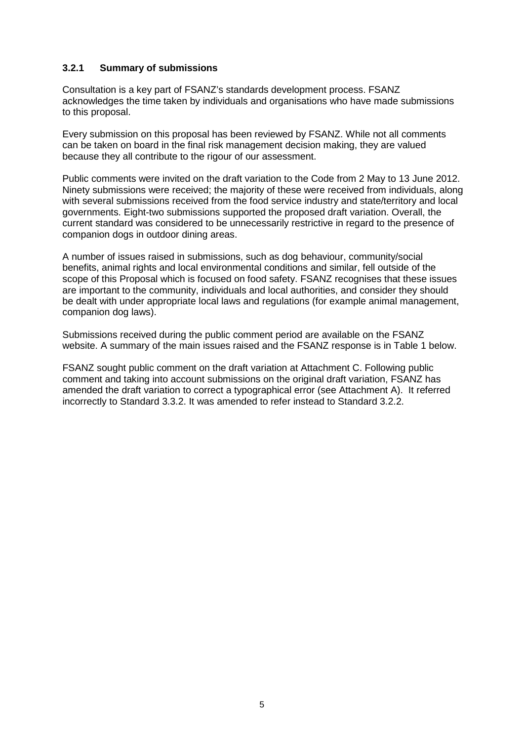### <span id="page-5-0"></span>**3.2.1 Summary of submissions**

Consultation is a key part of FSANZ's standards development process. FSANZ acknowledges the time taken by individuals and organisations who have made submissions to this proposal.

Every submission on this proposal has been reviewed by FSANZ. While not all comments can be taken on board in the final risk management decision making, they are valued because they all contribute to the rigour of our assessment.

Public comments were invited on the draft variation to the Code from 2 May to 13 June 2012. Ninety submissions were received; the majority of these were received from individuals, along with several submissions received from the food service industry and state/territory and local governments. Eight-two submissions supported the proposed draft variation. Overall, the current standard was considered to be unnecessarily restrictive in regard to the presence of companion dogs in outdoor dining areas.

A number of issues raised in submissions, such as dog behaviour, community/social benefits, animal rights and local environmental conditions and similar, fell outside of the scope of this Proposal which is focused on food safety. FSANZ recognises that these issues are important to the community, individuals and local authorities, and consider they should be dealt with under appropriate local laws and regulations (for example animal management, companion dog laws).

Submissions received during the public comment period are available on the FSANZ website. A summary of the main issues raised and the FSANZ response is in Table 1 below.

FSANZ sought public comment on the draft variation at Attachment C. Following public comment and taking into account submissions on the original draft variation, FSANZ has amended the draft variation to correct a typographical error (see Attachment A). It referred incorrectly to Standard 3.3.2. It was amended to refer instead to Standard 3.2.2.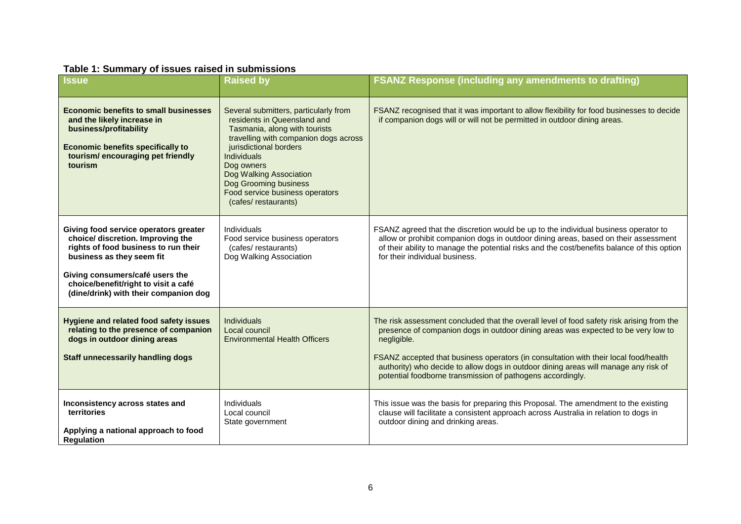### **Table 1: Summary of issues raised in submissions**

| <b>Issue</b>                                                                                                                                                                                                                                                        | <b>Raised by</b>                                                                                                                                                                                                                                                                                                           | <b>FSANZ Response (including any amendments to drafting)</b>                                                                                                                                                                                                                                                                                                                                                                               |
|---------------------------------------------------------------------------------------------------------------------------------------------------------------------------------------------------------------------------------------------------------------------|----------------------------------------------------------------------------------------------------------------------------------------------------------------------------------------------------------------------------------------------------------------------------------------------------------------------------|--------------------------------------------------------------------------------------------------------------------------------------------------------------------------------------------------------------------------------------------------------------------------------------------------------------------------------------------------------------------------------------------------------------------------------------------|
| <b>Economic benefits to small businesses</b><br>and the likely increase in<br>business/profitability<br><b>Economic benefits specifically to</b><br>tourism/encouraging pet friendly<br>tourism                                                                     | Several submitters, particularly from<br>residents in Queensland and<br>Tasmania, along with tourists<br>travelling with companion dogs across<br>jurisdictional borders<br><b>Individuals</b><br>Dog owners<br>Dog Walking Association<br>Dog Grooming business<br>Food service business operators<br>(cafes/restaurants) | FSANZ recognised that it was important to allow flexibility for food businesses to decide<br>if companion dogs will or will not be permitted in outdoor dining areas.                                                                                                                                                                                                                                                                      |
| Giving food service operators greater<br>choice/ discretion. Improving the<br>rights of food business to run their<br>business as they seem fit<br>Giving consumers/café users the<br>choice/benefit/right to visit a café<br>(dine/drink) with their companion dog | Individuals<br>Food service business operators<br>(cafes/restaurants)<br>Dog Walking Association                                                                                                                                                                                                                           | FSANZ agreed that the discretion would be up to the individual business operator to<br>allow or prohibit companion dogs in outdoor dining areas, based on their assessment<br>of their ability to manage the potential risks and the cost/benefits balance of this option<br>for their individual business.                                                                                                                                |
| <b>Hygiene and related food safety issues</b><br>relating to the presence of companion<br>dogs in outdoor dining areas<br><b>Staff unnecessarily handling dogs</b>                                                                                                  | <b>Individuals</b><br>Local council<br><b>Environmental Health Officers</b>                                                                                                                                                                                                                                                | The risk assessment concluded that the overall level of food safety risk arising from the<br>presence of companion dogs in outdoor dining areas was expected to be very low to<br>negligible.<br>FSANZ accepted that business operators (in consultation with their local food/health<br>authority) who decide to allow dogs in outdoor dining areas will manage any risk of<br>potential foodborne transmission of pathogens accordingly. |
| Inconsistency across states and<br>territories<br>Applying a national approach to food<br><b>Regulation</b>                                                                                                                                                         | Individuals<br>Local council<br>State government                                                                                                                                                                                                                                                                           | This issue was the basis for preparing this Proposal. The amendment to the existing<br>clause will facilitate a consistent approach across Australia in relation to dogs in<br>outdoor dining and drinking areas.                                                                                                                                                                                                                          |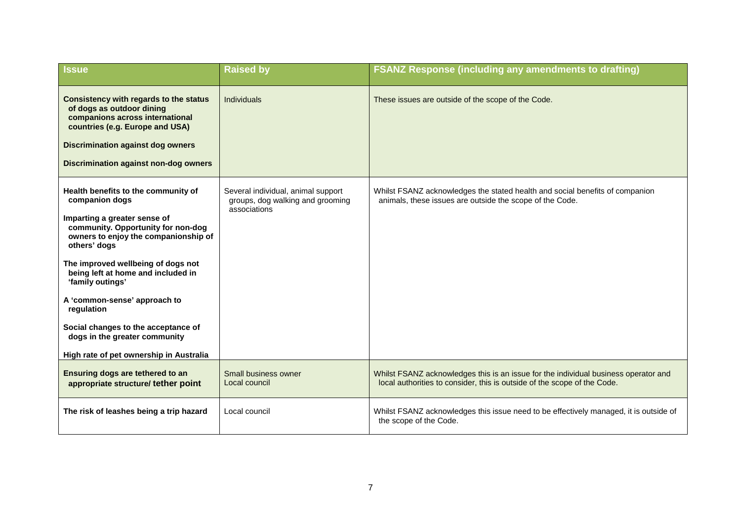| <b>Issue</b>                                                                                                                                                                                                                                                                                                                                                                                                                                         | <b>Raised by</b>                                                                       | <b>FSANZ Response (including any amendments to drafting)</b>                                                                                                    |
|------------------------------------------------------------------------------------------------------------------------------------------------------------------------------------------------------------------------------------------------------------------------------------------------------------------------------------------------------------------------------------------------------------------------------------------------------|----------------------------------------------------------------------------------------|-----------------------------------------------------------------------------------------------------------------------------------------------------------------|
| Consistency with regards to the status<br>of dogs as outdoor dining<br>companions across international<br>countries (e.g. Europe and USA)<br><b>Discrimination against dog owners</b><br><b>Discrimination against non-dog owners</b>                                                                                                                                                                                                                | <b>Individuals</b>                                                                     | These issues are outside of the scope of the Code.                                                                                                              |
| Health benefits to the community of<br>companion dogs<br>Imparting a greater sense of<br>community. Opportunity for non-dog<br>owners to enjoy the companionship of<br>others' dogs<br>The improved wellbeing of dogs not<br>being left at home and included in<br>'family outings'<br>A 'common-sense' approach to<br>regulation<br>Social changes to the acceptance of<br>dogs in the greater community<br>High rate of pet ownership in Australia | Several individual, animal support<br>groups, dog walking and grooming<br>associations | Whilst FSANZ acknowledges the stated health and social benefits of companion<br>animals, these issues are outside the scope of the Code.                        |
| Ensuring dogs are tethered to an<br>appropriate structure/ tether point                                                                                                                                                                                                                                                                                                                                                                              | Small business owner<br>Local council                                                  | Whilst FSANZ acknowledges this is an issue for the individual business operator and<br>local authorities to consider, this is outside of the scope of the Code. |
| The risk of leashes being a trip hazard                                                                                                                                                                                                                                                                                                                                                                                                              | Local council                                                                          | Whilst FSANZ acknowledges this issue need to be effectively managed, it is outside of<br>the scope of the Code.                                                 |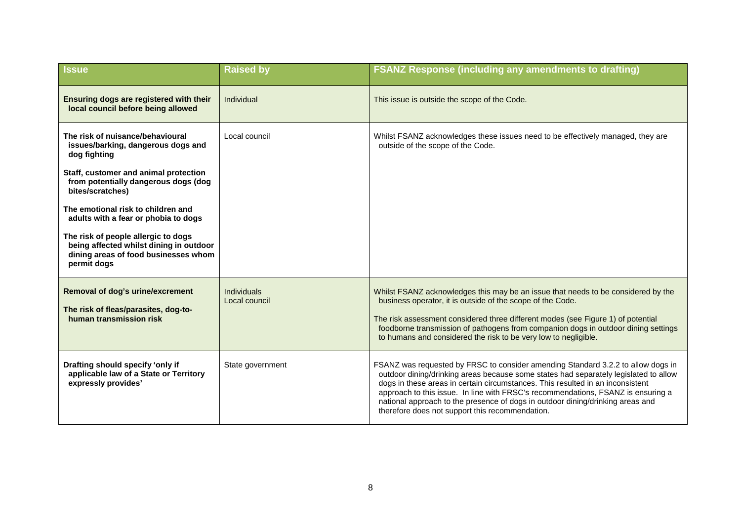| <b>Issue</b>                                                                                                                          | <b>Raised by</b>                    | <b>FSANZ Response (including any amendments to drafting)</b>                                                                                                                                                                                                                                                                                                                                                                                                                        |
|---------------------------------------------------------------------------------------------------------------------------------------|-------------------------------------|-------------------------------------------------------------------------------------------------------------------------------------------------------------------------------------------------------------------------------------------------------------------------------------------------------------------------------------------------------------------------------------------------------------------------------------------------------------------------------------|
| Ensuring dogs are registered with their<br>local council before being allowed                                                         | Individual                          | This issue is outside the scope of the Code.                                                                                                                                                                                                                                                                                                                                                                                                                                        |
| The risk of nuisance/behavioural<br>issues/barking, dangerous dogs and<br>dog fighting                                                | Local council                       | Whilst FSANZ acknowledges these issues need to be effectively managed, they are<br>outside of the scope of the Code.                                                                                                                                                                                                                                                                                                                                                                |
| Staff, customer and animal protection<br>from potentially dangerous dogs (dog<br>bites/scratches)                                     |                                     |                                                                                                                                                                                                                                                                                                                                                                                                                                                                                     |
| The emotional risk to children and<br>adults with a fear or phobia to dogs                                                            |                                     |                                                                                                                                                                                                                                                                                                                                                                                                                                                                                     |
| The risk of people allergic to dogs<br>being affected whilst dining in outdoor<br>dining areas of food businesses whom<br>permit dogs |                                     |                                                                                                                                                                                                                                                                                                                                                                                                                                                                                     |
| <b>Removal of dog's urine/excrement</b><br>The risk of fleas/parasites, dog-to-<br>human transmission risk                            | <b>Individuals</b><br>Local council | Whilst FSANZ acknowledges this may be an issue that needs to be considered by the<br>business operator, it is outside of the scope of the Code.<br>The risk assessment considered three different modes (see Figure 1) of potential<br>foodborne transmission of pathogens from companion dogs in outdoor dining settings<br>to humans and considered the risk to be very low to negligible.                                                                                        |
| Drafting should specify 'only if<br>applicable law of a State or Territory<br>expressly provides'                                     | State government                    | FSANZ was requested by FRSC to consider amending Standard 3.2.2 to allow dogs in<br>outdoor dining/drinking areas because some states had separately legislated to allow<br>dogs in these areas in certain circumstances. This resulted in an inconsistent<br>approach to this issue. In line with FRSC's recommendations, FSANZ is ensuring a<br>national approach to the presence of dogs in outdoor dining/drinking areas and<br>therefore does not support this recommendation. |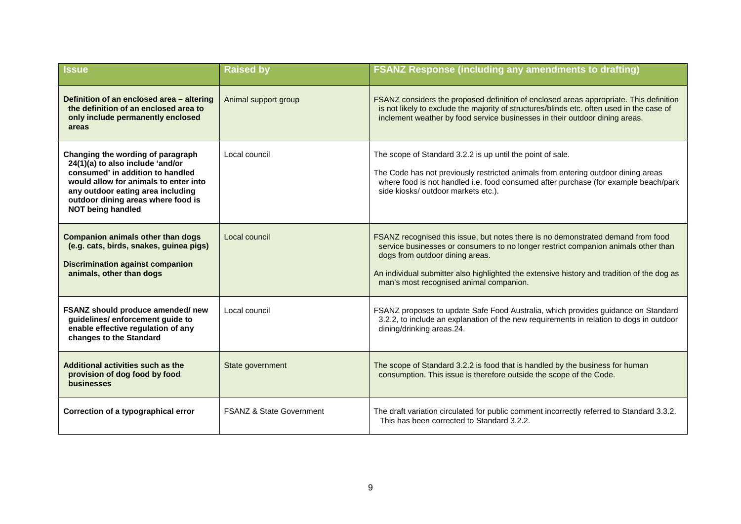| <b>Issue</b>                                                                                                                                                                                                                                              | <b>Raised by</b>                    | <b>FSANZ Response (including any amendments to drafting)</b>                                                                                                                                                                                                                                                                                       |
|-----------------------------------------------------------------------------------------------------------------------------------------------------------------------------------------------------------------------------------------------------------|-------------------------------------|----------------------------------------------------------------------------------------------------------------------------------------------------------------------------------------------------------------------------------------------------------------------------------------------------------------------------------------------------|
| Definition of an enclosed area - altering<br>the definition of an enclosed area to<br>only include permanently enclosed<br>areas                                                                                                                          | Animal support group                | FSANZ considers the proposed definition of enclosed areas appropriate. This definition<br>is not likely to exclude the majority of structures/blinds etc. often used in the case of<br>inclement weather by food service businesses in their outdoor dining areas.                                                                                 |
| Changing the wording of paragraph<br>24(1)(a) to also include 'and/or<br>consumed' in addition to handled<br>would allow for animals to enter into<br>any outdoor eating area including<br>outdoor dining areas where food is<br><b>NOT being handled</b> | Local council                       | The scope of Standard 3.2.2 is up until the point of sale.<br>The Code has not previously restricted animals from entering outdoor dining areas<br>where food is not handled i.e. food consumed after purchase (for example beach/park<br>side kiosks/ outdoor markets etc.).                                                                      |
| <b>Companion animals other than dogs</b><br>(e.g. cats, birds, snakes, guinea pigs)<br><b>Discrimination against companion</b><br>animals, other than dogs                                                                                                | Local council                       | FSANZ recognised this issue, but notes there is no demonstrated demand from food<br>service businesses or consumers to no longer restrict companion animals other than<br>dogs from outdoor dining areas.<br>An individual submitter also highlighted the extensive history and tradition of the dog as<br>man's most recognised animal companion. |
| FSANZ should produce amended/new<br>guidelines/enforcement guide to<br>enable effective regulation of any<br>changes to the Standard                                                                                                                      | Local council                       | FSANZ proposes to update Safe Food Australia, which provides guidance on Standard<br>3.2.2, to include an explanation of the new requirements in relation to dogs in outdoor<br>dining/drinking areas.24.                                                                                                                                          |
| Additional activities such as the<br>provision of dog food by food<br>businesses                                                                                                                                                                          | State government                    | The scope of Standard 3.2.2 is food that is handled by the business for human<br>consumption. This issue is therefore outside the scope of the Code.                                                                                                                                                                                               |
| Correction of a typographical error                                                                                                                                                                                                                       | <b>FSANZ &amp; State Government</b> | The draft variation circulated for public comment incorrectly referred to Standard 3.3.2.<br>This has been corrected to Standard 3.2.2.                                                                                                                                                                                                            |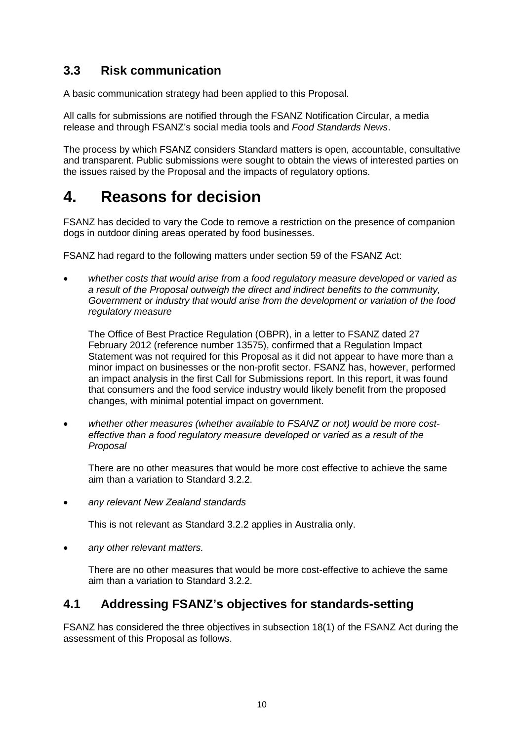# <span id="page-10-0"></span>**3.3 Risk communication**

A basic communication strategy had been applied to this Proposal.

All calls for submissions are notified through the FSANZ Notification Circular, a media release and through FSANZ's social media tools and *Food Standards News*.

The process by which FSANZ considers Standard matters is open, accountable, consultative and transparent. Public submissions were sought to obtain the views of interested parties on the issues raised by the Proposal and the impacts of regulatory options.

# <span id="page-10-1"></span>**4. Reasons for decision**

FSANZ has decided to vary the Code to remove a restriction on the presence of companion dogs in outdoor dining areas operated by food businesses.

FSANZ had regard to the following matters under section 59 of the FSANZ Act:

• *whether costs that would arise from a food regulatory measure developed or varied as a result of the Proposal outweigh the direct and indirect benefits to the community, Government or industry that would arise from the development or variation of the food regulatory measure* 

The Office of Best Practice Regulation (OBPR), in a letter to FSANZ dated 27 February 2012 (reference number 13575), confirmed that a Regulation Impact Statement was not required for this Proposal as it did not appear to have more than a minor impact on businesses or the non-profit sector. FSANZ has, however, performed an impact analysis in the first Call for Submissions report. In this report, it was found that consumers and the food service industry would likely benefit from the proposed changes, with minimal potential impact on government.

• *whether other measures (whether available to FSANZ or not) would be more costeffective than a food regulatory measure developed or varied as a result of the Proposal*

There are no other measures that would be more cost effective to achieve the same aim than a variation to Standard 3.2.2.

• *any relevant New Zealand standards*

This is not relevant as Standard 3.2.2 applies in Australia only.

• *any other relevant matters.*

There are no other measures that would be more cost-effective to achieve the same aim than a variation to Standard 3.2.2.

## <span id="page-10-2"></span>**4.1 Addressing FSANZ's objectives for standards-setting**

FSANZ has considered the three objectives in subsection 18(1) of the FSANZ Act during the assessment of this Proposal as follows.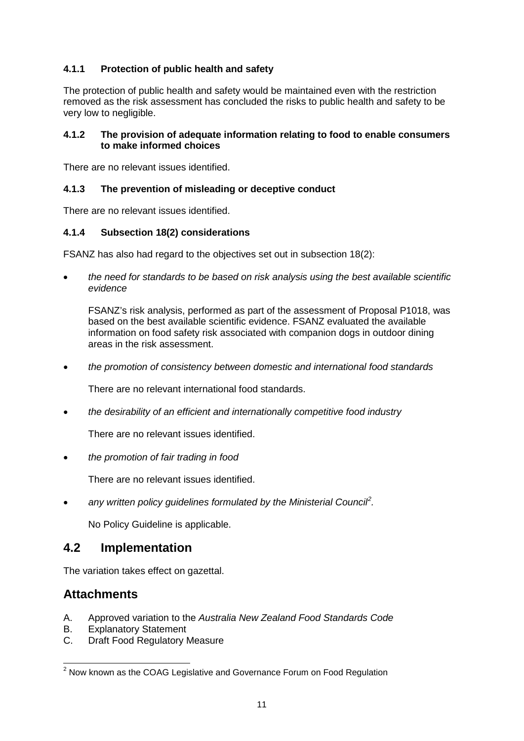### <span id="page-11-0"></span>**4.1.1 Protection of public health and safety**

The protection of public health and safety would be maintained even with the restriction removed as the risk assessment has concluded the risks to public health and safety to be very low to negligible.

### <span id="page-11-1"></span>**4.1.2 The provision of adequate information relating to food to enable consumers to make informed choices**

There are no relevant issues identified.

### <span id="page-11-2"></span>**4.1.3 The prevention of misleading or deceptive conduct**

There are no relevant issues identified.

### <span id="page-11-3"></span>**4.1.4 Subsection 18(2) considerations**

FSANZ has also had regard to the objectives set out in subsection 18(2):

• *the need for standards to be based on risk analysis using the best available scientific evidence*

FSANZ's risk analysis, performed as part of the assessment of Proposal P1018, was based on the best available scientific evidence. FSANZ evaluated the available information on food safety risk associated with companion dogs in outdoor dining areas in the risk assessment.

• *the promotion of consistency between domestic and international food standards*

There are no relevant international food standards.

• *the desirability of an efficient and internationally competitive food industry*

There are no relevant issues identified.

• *the promotion of fair trading in food*

There are no relevant issues identified.

• any written policy guidelines formulated by the Ministerial Council<sup>[2](#page-0-1)</sup>.

No Policy Guideline is applicable.

### <span id="page-11-4"></span>**4.2 Implementation**

The variation takes effect on gazettal.

### **Attachments**

- A. Approved variation to the *Australia New Zealand Food Standards Code*
- B. Explanatory Statement
- C. Draft Food Regulatory Measure

<span id="page-11-5"></span> $2$  Now known as the COAG Legislative and Governance Forum on Food Regulation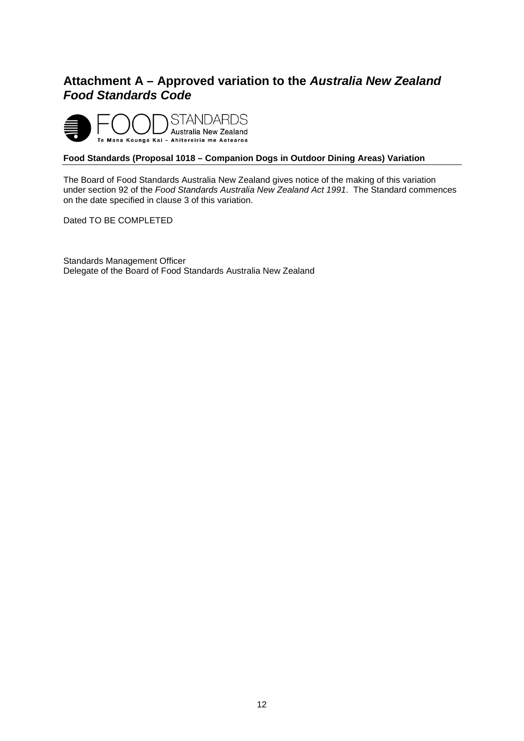# <span id="page-12-0"></span>**Attachment A – Approved variation to the** *Australia New Zealand Food Standards Code*



#### **Food Standards (Proposal 1018 – Companion Dogs in Outdoor Dining Areas) Variation**

The Board of Food Standards Australia New Zealand gives notice of the making of this variation under section 92 of the *Food Standards Australia New Zealand Act 1991*. The Standard commences on the date specified in clause 3 of this variation.

Dated TO BE COMPLETED

Standards Management Officer Delegate of the Board of Food Standards Australia New Zealand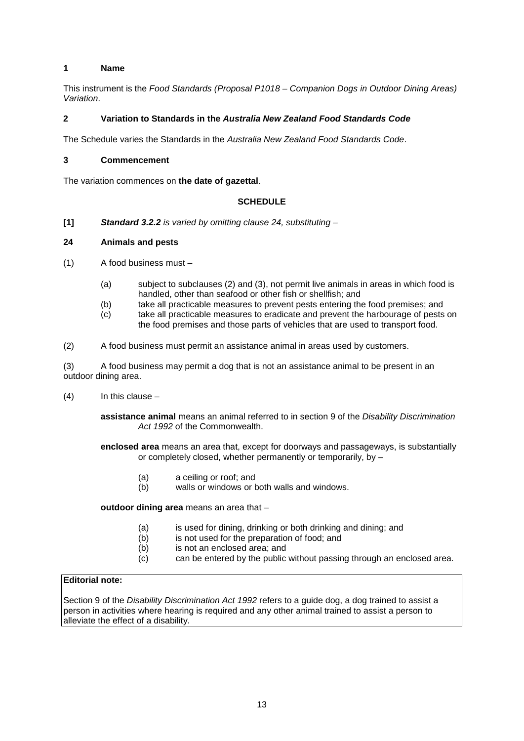#### **1 Name**

This instrument is the *Food Standards (Proposal P1018 – Companion Dogs in Outdoor Dining Areas) Variation*.

#### **2 Variation to Standards in the** *Australia New Zealand Food Standards Code*

The Schedule varies the Standards in the *Australia New Zealand Food Standards Code*.

#### **3 Commencement**

The variation commences on **the date of gazettal**.

#### **SCHEDULE**

**[1]** *Standard 3.2.2 is varied by omitting clause 24, substituting –*

#### **24 Animals and pests**

- (1) A food business must
	- (a) subject to subclauses (2) and (3), not permit live animals in areas in which food is handled, other than seafood or other fish or shellfish; and
	- (b) take all practicable measures to prevent pests entering the food premises; and<br>(c) take all practicable measures to eradicate and prevent the harbourage of pests
	- take all practicable measures to eradicate and prevent the harbourage of pests on the food premises and those parts of vehicles that are used to transport food.
- (2) A food business must permit an assistance animal in areas used by customers.

(3) A food business may permit a dog that is not an assistance animal to be present in an outdoor dining area.

 $(4)$  In this clause –

**assistance animal** means an animal referred to in section 9 of the *Disability Discrimination Act 1992* of the Commonwealth.

**enclosed area** means an area that, except for doorways and passageways, is substantially or completely closed, whether permanently or temporarily, by –

- (a) a ceiling or roof; and<br>(b) walls or windows or b
- walls or windows or both walls and windows.

**outdoor dining area** means an area that –

- (a) is used for dining, drinking or both drinking and dining; and
- (b) is not used for the preparation of food; and
- (b) is not an enclosed area; and<br>  $(c)$  can be entered by the public
- can be entered by the public without passing through an enclosed area.

#### **Editorial note:**

Section 9 of the *Disability Discrimination Act 1992* refers to a guide dog, a dog trained to assist a person in activities where hearing is required and any other animal trained to assist a person to alleviate the effect of a disability.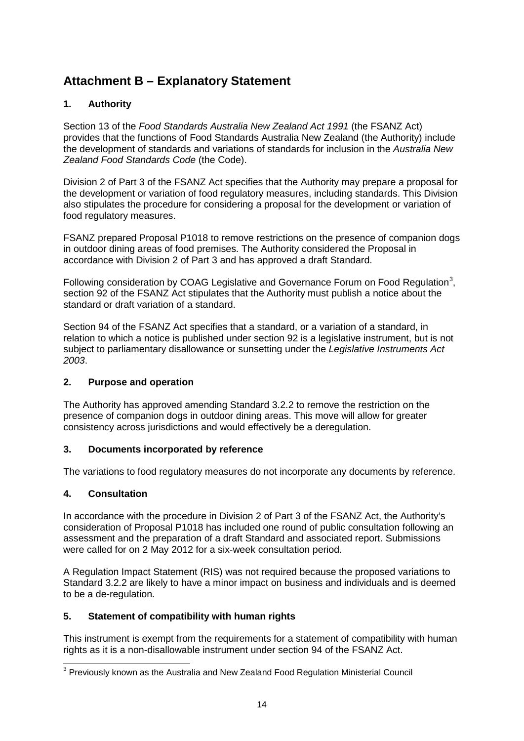# <span id="page-14-0"></span>**Attachment B – Explanatory Statement**

### **1. Authority**

Section 13 of the *Food Standards Australia New Zealand Act 1991* (the FSANZ Act) provides that the functions of Food Standards Australia New Zealand (the Authority) include the development of standards and variations of standards for inclusion in the *Australia New Zealand Food Standards Code* (the Code).

Division 2 of Part 3 of the FSANZ Act specifies that the Authority may prepare a proposal for the development or variation of food regulatory measures, including standards. This Division also stipulates the procedure for considering a proposal for the development or variation of food regulatory measures.

FSANZ prepared Proposal P1018 to remove restrictions on the presence of companion dogs in outdoor dining areas of food premises. The Authority considered the Proposal in accordance with Division 2 of Part 3 and has approved a draft Standard.

Following consideration by COAG Legislative and Governance Forum on Food Regulation<sup>[3](#page-11-5)</sup>, section 92 of the FSANZ Act stipulates that the Authority must publish a notice about the standard or draft variation of a standard.

Section 94 of the FSANZ Act specifies that a standard, or a variation of a standard, in relation to which a notice is published under section 92 is a legislative instrument, but is not subject to parliamentary disallowance or sunsetting under the *Legislative Instruments Act 2003*.

### **2. Purpose and operation**

The Authority has approved amending Standard 3.2.2 to remove the restriction on the presence of companion dogs in outdoor dining areas. This move will allow for greater consistency across jurisdictions and would effectively be a deregulation.

### **3. Documents incorporated by reference**

The variations to food regulatory measures do not incorporate any documents by reference.

### **4. Consultation**

In accordance with the procedure in Division 2 of Part 3 of the FSANZ Act, the Authority's consideration of Proposal P1018 has included one round of public consultation following an assessment and the preparation of a draft Standard and associated report. Submissions were called for on 2 May 2012 for a six-week consultation period.

A Regulation Impact Statement (RIS) was not required because the proposed variations to Standard 3.2.2 are likely to have a minor impact on business and individuals and is deemed to be a de-regulation.

### **5. Statement of compatibility with human rights**

This instrument is exempt from the requirements for a statement of compatibility with human rights as it is a non-disallowable instrument under section 94 of the FSANZ Act.

<sup>&</sup>lt;sup>3</sup> Previously known as the Australia and New Zealand Food Regulation Ministerial Council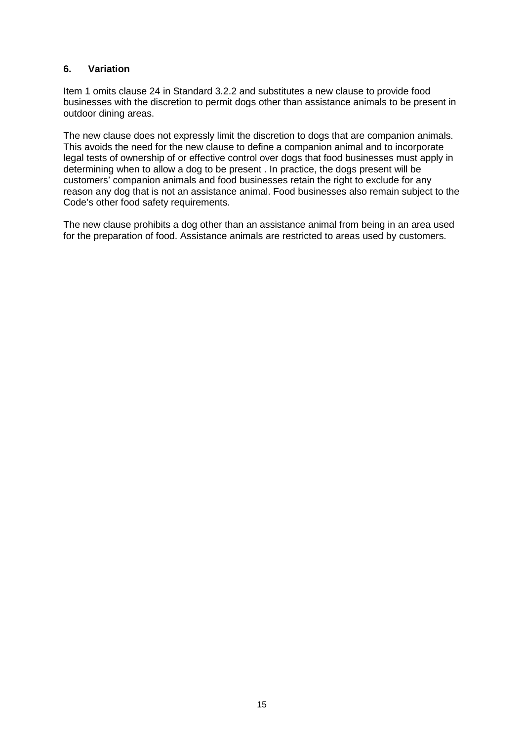### **6. Variation**

Item 1 omits clause 24 in Standard 3.2.2 and substitutes a new clause to provide food businesses with the discretion to permit dogs other than assistance animals to be present in outdoor dining areas.

The new clause does not expressly limit the discretion to dogs that are companion animals. This avoids the need for the new clause to define a companion animal and to incorporate legal tests of ownership of or effective control over dogs that food businesses must apply in determining when to allow a dog to be present . In practice, the dogs present will be customers' companion animals and food businesses retain the right to exclude for any reason any dog that is not an assistance animal. Food businesses also remain subject to the Code's other food safety requirements.

The new clause prohibits a dog other than an assistance animal from being in an area used for the preparation of food. Assistance animals are restricted to areas used by customers.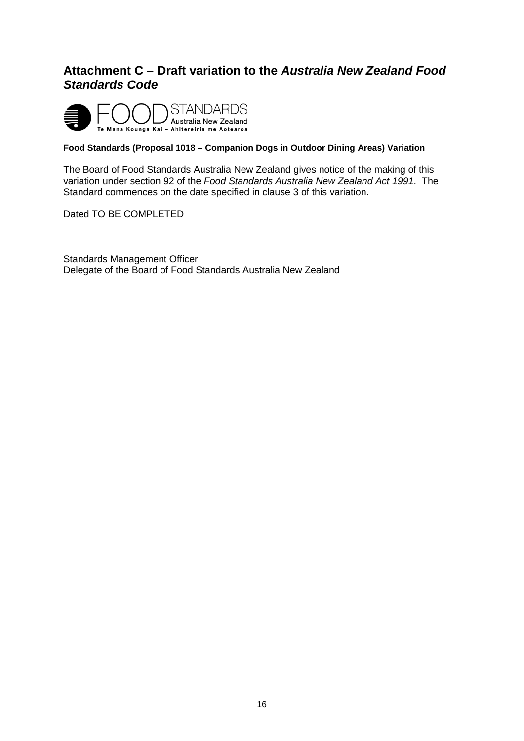## <span id="page-16-0"></span>**Attachment C – Draft variation to the** *Australia New Zealand Food Standards Code*



### **Food Standards (Proposal 1018 – Companion Dogs in Outdoor Dining Areas) Variation**

The Board of Food Standards Australia New Zealand gives notice of the making of this variation under section 92 of the *Food Standards Australia New Zealand Act 1991*. The Standard commences on the date specified in clause 3 of this variation.

Dated TO BE COMPLETED

Standards Management Officer Delegate of the Board of Food Standards Australia New Zealand